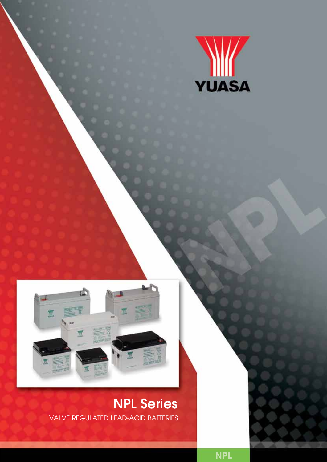



## NPL Series valve regulated lead-acid batteries

**NPL**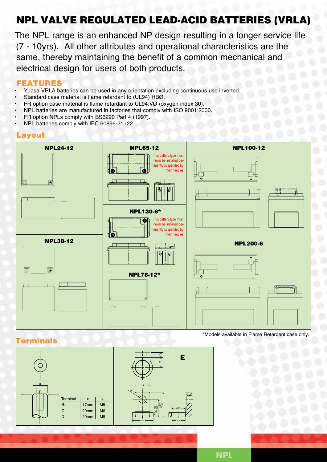## NPL Valve regulaTed Lead-acid batteries (vrla)

The NPL range is an enhanced NP design resulting in a longer service life (7 - 10yrs). All other attributes and operational characteristics are the same, thereby maintaining the benefit of a common mechanical and electrical design for users of both products.

## **FEATURES**

- Yuasa VRLA batteries can be used in any orientation excluding continuous use inverted.
- Standard case material is flame retardant to (UL94) HBØ.
- FR option case material is flame retardant to UL94:VØ (oxygen index 30).
- NPL batteries are manufactured in factories that comply with ISO 9001:2000.
- FR option NPLs comply with BS6290 Part 4 (1997).
- NPL batteries comply with IEC 60896-21+22.

#### Layout



## **Terminals**



\*Models available in Flame Retardent case only.

**NPL**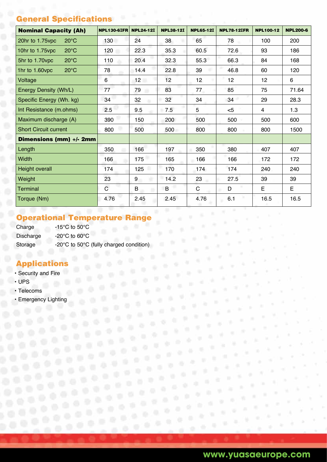# **General Specifications**

| <b>Nominal Capacity (Ah)</b>      | <b>NPL130-6IFR</b> | <b>NPL24-12I</b> | <b>NPL38-12I</b> | <b>NPL65-12I</b> | <b>NPL78-12IFR</b> | <b>NPL100-12</b> | <b>NPL200-6</b> |
|-----------------------------------|--------------------|------------------|------------------|------------------|--------------------|------------------|-----------------|
| 20hr to 1.75vpc<br>$20^{\circ}$ C | 130                | 24               | 38               | 65               | 78                 | 100              | 200             |
| $20^{\circ}$ C<br>10hr to 1.75vpc | 120                | 22.3             | 35.3             | 60.5             | 72.6               | 93               | 186             |
| $20^{\circ}$ C<br>5hr to 1.70vpc  | 110                | 20.4             | 32.3             | 55.3             | 66.3               | 84               | 168             |
| $20^{\circ}$ C<br>1hr to 1.60vpc  | 78                 | 14.4             | 22.8             | 39               | 46.8               | 60               | 120             |
| Voltage                           | 6                  | 12               | 12 <sup>2</sup>  | 12               | 12 <sub>2</sub>    | 12 <sub>2</sub>  | 6               |
| Energy Density (Wh/L)             | 77                 | 79               | 83               | 77               | 85                 | 75               | 71.64           |
| Specific Energy (Wh. kg)          | 34                 | 32               | 32               | 34               | 34                 | 29               | 28.3            |
| Int Resistance (m.ohms)           | 2.5                | 9.5              | 7.5              | 5                | $<$ 5              | $\overline{4}$   | 1.3             |
| Maximum discharge (A)             | 390                | 150              | 200              | 500              | 500                | 500              | 600             |
| <b>Short Circuit current</b>      | 800                | 500              | 500              | 800              | 800                | 800              | 1500            |
| Dimensions (mm) +/- 2mm           |                    |                  |                  |                  |                    |                  |                 |
| Length                            | 350                | 166              | 197              | 350              | 380                | 407              | 407             |
| <b>Width</b>                      | 166                | 175              | 165              | 166              | 166                | 172              | 172             |
| Height overall                    | 174                | 125              | 170              | 174              | 174                | 240              | 240             |
| Weight                            | 23                 | 9                | 14.2             | 23               | 27.5               | 39               | 39              |
| <b>Terminal</b>                   | $\mathsf{C}$       | B                | B                | $\mathsf C$      | D                  | E                | E               |
| Torque (Nm)                       | 4.76               | 2.45             | 2.45             | 4.76             | 6.1                | 16.5             | 16.5            |

## Operational Temperature Range

Charge -15°C to 50°C Discharge -20°C to 60°C Storage -20°C to 50°C (fully charged condition)

## Applications

- Security and Fire
- UPS
	- Telecoms
	- Emergency Lighting